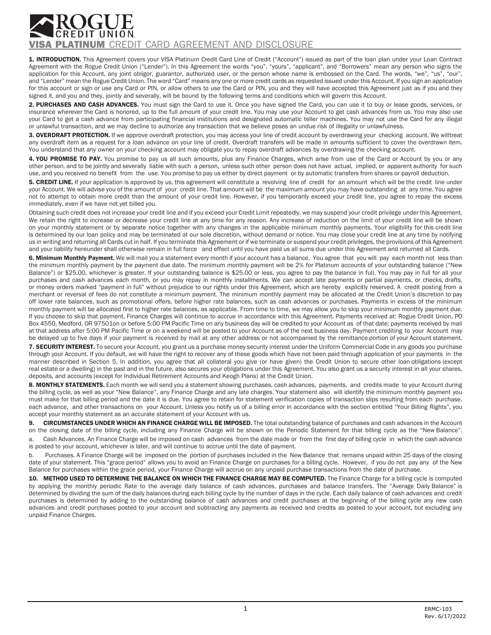## **PLATINUM** CREDIT CARD AGREEMENT AND DISCLOSURE

1. INTRODUCTION. This Agreement covers your VISA Platinum Credit Card Line of Credit ("Account") issued as part of the loan plan under your Loan Contract Agreement with the Rogue Credit Union ("Lender"). In this Agreement the words "you", "yours", "applicant", and "Borrowers" mean any person who signs the application for this Account, any joint obligor, guarantor, authorized user, or the person whose name is embossed on the Card. The words, "we", "us", "our", and "Lender" mean the Rogue Credit Union. The word "Card" means any one or more credit cards as requested issued under this Account. If you sign an application for this account or sign or use any Card or PIN, or allow others to use the Card or PIN, you and they will have accepted this Agreement just as if you and they signed it, and you and they, jointly and severally, will be bound by the following terms and conditions which will govern this Account.

2. PURCHASES AND CASH ADVANCES. You must sign the Card to use it. Once you have signed the Card, you can use it to buy or lease goods, services, or insurance wherever the Card is honored, up to the full amount of your credit line. You may use your Account to get cash advances from us. You may also use your Card to get a cash advance from participating financial institutions and designated automatic teller machines. You may not use the Card for any illegal or unlawful transaction, and we may decline to authorize any transaction that we believe poses an undue risk of illegality or unlawfulness.

3. OVERDRAFT PROTECTION. If we approve overdraft protection, you may access your line of credit account by overdrawing your checking account. We willtreat any overdraft item as a request for a loan advance on your line of credit. Overdraft transfers will be made in amounts sufficient to cover the overdrawn item. You understand that any owner on your checking account may obligate you to repay overdraft advances by overdrawing the checking account.

4. YOU PROMISE TO PAY. You promise to pay us all such amounts, plus any Finance Charges, which arise from use of the Card or Account by you or any other person, and to be jointly and severally liable with such a person, unless such other person does not have actual, implied, or apparent authority for such use, and you received no benefit from the use. You promise to pay us either by direct payment or by automatic transfers from shares or payroll deduction.

5. CREDIT LINE. If your application is approved by us, this agreement will constitute a revolving line of credit for an amount which will be the credit line under your Account. We will advise you of the amount of your credit line. That amount will be the maximum amount you may have outstanding at any time. You agree not to attempt to obtain more credit than the amount of your credit line. However, if you temporarily exceed your credit line, you agree to repay the excess immediately, even if we have not yet billed you.

Obtaining such credit does not increase your credit line and if you exceed your Credit Limit repeatedly, we may suspend your credit privilege under this Agreement. We retain the right to increase or decrease your credit line at any time for any reason. Any increase of reduction on the limit of your credit line will be shown on your monthly statement or by separate notice together with any changes in the applicable minimum monthly payments. Your eligibility for this credit line is determined by our loan policy and may be terminated at our sole discretion, without demand or notice. You may close your credit line at any time by notifying us in writing and returning all Cards cut in half. If you terminate this Agreement or if we terminate or suspend your credit privileges, the provisions of this Agreement and your liability hereunder shall otherwise remain in full force and effect until you have paid us all sums due under this Agreement and returned all Cards.

6. Minimum Monthly Payment. We will mail you a statement every month if your account has a balance. You agree that you will pay each month not less than the minimum monthly payment by the payment due date. The minimum monthly payment will be 2% for Platinum accounts of your outstanding balance ("New Balance") or \$25.00, whichever is greater. If your outstanding balance is \$25.00 or less, you agree to pay the balance in full. You may pay in full for all your purchases and cash advances each month, or you may repay in monthly installments. We can accept late payments or partial payments, or checks, drafts, or money orders marked "payment in full" without prejudice to our rights under this Agreement, which are hereby explicitly reserved. A credit posting from a merchant or reversal of fees do not constitute a minimum payment. The minimum monthly payment may be allocated at the Credit Union's discretion to pay off lower rate balances, such as promotional offers, before higher rate balances, such as cash advances or purchases. Payments in excess of the minimum monthly payment will be allocated first to higher rate balances, as applicable. From time to time, we may allow you to skip your minimum monthly payment due. If you choose to skip that payment, Finance Charges will continue to accrue in accordance with this Agreement. Payments received at: Rogue Credit Union, PO Box 4550, Medford, OR 97501on or before 5:00 PM Pacific Time on any business day will be credited to your Account as of that date; payments received by mail at that address after 5:00 PM Pacific Time or on a weekend will be posted to your Account as of the next business day. Payment crediting to your Account may be delayed up to five days if your payment is received by mail at any other address or not accompanied by the remittance portion of your Account statement.

7. SECURITY INTEREST. To secure your Account, you grant us a purchase money security interest under the Uniform Commercial Code in any goods you purchase through your Account. If you default, we will have the right to recover any of these goods which have not been paid through application of your payments in the manner described in Section 5. In addition, you agree that all collateral you give (or have given) the Credit Union to secure other loan obligations (except real estate or a dwelling) in the past and in the future, also secures your obligations under this Agreement. You also grant us a security interest in all your shares, deposits, and accounts (except for Individual Retirement Accounts and Keogh Plans) at the Credit Union.

8. MONTHLY STATEMENTS. Each month we will send you a statement showing purchases, cash advances, payments, and credits made to your Account during the billing cycle, as well as your "New Balance", any Finance Charge and any late charges. Your statement also will identify the minimum monthly payment you must make for that billing period and the date it is due. You agree to retain for statement verification copies of transaction slips resulting from each purchase, each advance, and other transactions on your Account. Unless you notify us of a billing error in accordance with the section entitled "Your Billing Rights", you accept your monthly statement as an accurate statement of your Account with us.

9. CIRCUMSTANCES UNDER WHICH AN FINANCE CHARGE WILL BE IMPOSED. The total outstanding balance of purchases and cash advances in the Account on the closing date of the billing cycle, including any Finance Charge will be shown on the Periodic Statement for that billing cycle as the "New Balance".

a. Cash Advances. An Finance Charge will be imposed on cash advances from the date made or from the first day of billing cycle in which the cash advance is posted to your account, whichever is later, and will continue to accrue until the date of payment.

b. Purchases. A Finance Charge will be imposed on the portion of purchases included in the New Balance that remains unpaid within 25 days of the closing date of your statement. This "grace period" allows you to avoid an Finance Charge on purchases for a billing cycle. However, if you do not pay any of the New Balance for purchases within the grace period, your Finance Charge will accrue on any unpaid purchase transactions from the date of purchase.

10. METHOD USED TO DETERMINE THE BALANCE ON WHICH THE FINANCE CHARGE MAY BE COMPUTED. The Finance Charge for a billing cycle is computed by applying the monthly periodic Rate to the average daily balance of cash advances, purchases and balance transfers. The "Average Daily Balance" is determined by dividing the sum of the daily balances during each billing cycle by the number of days in the cycle. Each daily balance of cash advances and credit purchases is determined by adding to the outstanding balance of cash advances and credit purchases at the beginning of the billing cycle any new cash advances and credit purchases posted to your account and subtracting any payments as received and credits as posted to your account, but excluding any unpaid Finance Charges.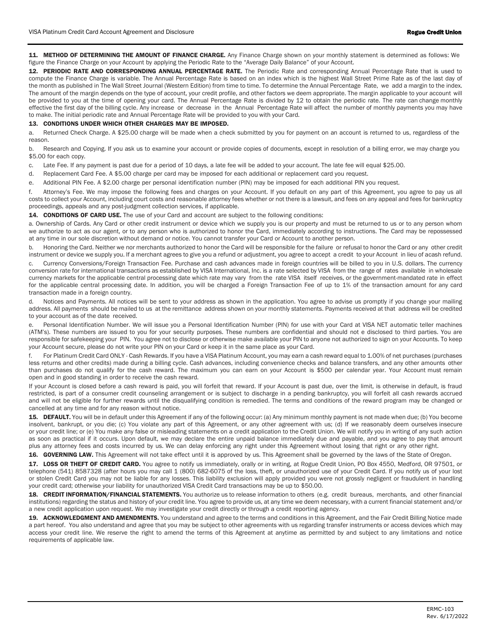11. METHOD OF DETERMINING THE AMOUNT OF FINANCE CHARGE. Any Finance Charge shown on your monthly statement is determined as follows: We figure the Finance Charge on your Account by applying the Periodic Rate to the "Average Daily Balance" of your Account.

12. PERIODIC RATE AND CORRESPONDING ANNUAL PERCENTAGE RATE. The Periodic Rate and corresponding Annual Percentage Rate that is used to compute the Finance Charge is variable. The Annual Percentage Rate is based on an index which is the highest Wall Street Prime Rate as of the last day of the month as published in The Wall Street Journal (Western Edition) from time to time. To determine the Annual Percentage Rate, we add a margin to the index. The amount of the margin depends on the type of account, your credit profile, and other factors we deem appropriate. The margin applicable to your account will be provided to you at the time of opening your card. The Annual Percentage Rate is divided by 12 to obtain the periodic rate. The rate can change monthly effective the first day of the billing cycle. Any increase or decrease in the Annual Percentage Rate will affect the number of monthly payments you may have to make. The initial periodic rate and Annual Percentage Rate will be provided to you with your Card.

## 13. CONDITIONS UNDER WHICH OTHER CHARGES MAY BE IMPOSED.

a. Returned Check Charge. A \$25.00 charge will be made when a check submitted by you for payment on an account is returned to us, regardless of the reason.

b. Research and Copying. If you ask us to examine your account or provide copies of documents, except in resolution of a billing error, we may charge you \$5.00 for each copy.

c. Late Fee. If any payment is past due for a period of 10 days, a late fee will be added to your account. The late fee will equal \$25.00.

d. Replacement Card Fee. A \$5.00 charge per card may be imposed for each additional or replacement card you request.

e. Additional PIN Fee. A \$2.00 charge per personal identification number (PIN) may be imposed for each additional PIN you request.

f. Attorney's Fee. We may impose the following fees and charges on your Account. If you default on any part of this Agreement, you agree to pay us all costs to collect your Account, including court costs and reasonable attorney fees whether or not there is a lawsuit, and fees on any appeal and fees for bankruptcy proceedings, appeals and any post-judgment collection services, if applicable.

14. CONDITIONS OF CARD USE. The use of your Card and account are subject to the following conditions:

a. Ownership of Cards. Any Card or other credit instrument or device which we supply you is our property and must be returned to us or to any person whom we authorize to act as our agent, or to any person who is authorized to honor the Card, immediately according to instructions. The Card may be repossessed at any time in our sole discretion without demand or notice. You cannot transfer your Card or Account to another person.

Honoring the Card. Neither we nor merchants authorized to honor the Card will be responsible for the failure or refusal to honor the Card or any other credit instrument or device we supply you. If a merchant agrees to give you a refund or adjustment, you agree to accept a credit to your Account in lieu of acash refund.

c. Currency Conversions/Foreign Transaction Fee. Purchase and cash advances made in foreign countries will be billed to you in U.S. dollars. The currency conversion rate for international transactions as established by VISA International, Inc. is a rate selected by VISA from the range of rates available in wholesale currency markets for the applicable central processing date which rate may vary from the rate VISA itself receives, or the government-mandated rate in effect for the applicable central processing date. In addition, you will be charged a Foreign Transaction Fee of up to 1% of the transaction amount for any card transaction made in a foreign country.

d. Notices and Payments. All notices will be sent to your address as shown in the application. You agree to advise us promptly if you change your mailing address. All payments should be mailed to us at the remittance address shown on your monthly statements. Payments received at that address will be credited to your account as of the date received.

e. Personal Identification Number. We will issue you a Personal Identification Number (PIN) for use with your Card at VISA NET automatic teller machines (ATM's). These numbers are issued to you for your security purposes. These numbers are confidential and should not e disclosed to third parties. You are responsible for safekeeping your PIN. You agree not to disclose or otherwise make available your PIN to anyone not authorized to sign on your Accounts. To keep your Account secure, please do not write your PIN on your Card or keep it in the same place as your Card.

f. For Platinum Credit Card ONLY - Cash Rewards. If you have a VISA Platinum Account, you may earn a cash reward equal to 1.00% of net purchases (purchases less returns and other credits) made during a billing cycle. Cash advances, including convenience checks and balance transfers, and any other amounts other than purchases do not qualify for the cash reward. The maximum you can earn on your Account is \$500 per calendar year. Your Account must remain open and in good standing in order to receive the cash reward.

If your Account is closed before a cash reward is paid, you will forfeit that reward. If your Account is past due, over the limit, is otherwise in default, is fraud restricted, is part of a consumer credit counseling arrangement or is subject to discharge in a pending bankruptcy, you will forfeit all cash rewards accrued and will not be eligible for further rewards until the disqualifying condition is remedied. The terms and conditions of the reward program may be changed or cancelled at any time and for any reason without notice.

15. DEFAULT. You will be in default under this Agreement if any of the following occur: (a) Any minimum monthly payment is not made when due; (b) You become insolvent, bankrupt, or you die; (c) You violate any part of this Agreement, or any other agreement with us; (d) If we reasonably deem ourselves insecure or your credit line; or (e) You make any false or misleading statements on a credit application to the Credit Union. We will notify you in writing of any such action as soon as practical if it occurs. Upon default, we may declare the entire unpaid balance immediately due and payable, and you agree to pay that amount plus any attorney fees and costs incurred by us. We can delay enforcing any right under this Agreement without losing that right or any other right.

16. GOVERNING LAW. This Agreement will not take effect until it is approved by us. This Agreement shall be governed by the laws of the State of Oregon.

17. LOSS OR THEFT OF CREDIT CARD. You agree to notify us immediately, orally or in writing, at Rogue Credit Union, PO Box 4550, Medford, OR 97501, or telephone (541) 8587328 (after hours you may call 1 (800) 682-6075 of the loss, theft, or unauthorized use of your Credit Card. If you notify us of your lost or stolen Credit Card you may not be liable for any losses. This liability exclusion will apply provided you were not grossly negligent or fraudulent in handling your credit card; otherwise your liability for unauthorized VISA Credit Card transactions may be up to \$50.00.

18. CREDIT INFORMATION/FINANCIAL STATEMENTS. You authorize us to release information to others (e.g. credit bureaus, merchants, and other financial institutions) regarding the status and history of your credit line. You agree to provide us, at any time we deem necessary, with a current financial statement and/or a new credit application upon request. We may investigate your credit directly or through a credit reporting agency.

19. ACKNOWLEDGMENT AND AMENDMENTS. You understand and agree to the terms and conditions in this Agreement, and the Fair Credit Billing Notice made a part hereof. You also understand and agree that you may be subject to other agreements with us regarding transfer instruments or access devices which may access your credit line. We reserve the right to amend the terms of this Agreement at anytime as permitted by and subject to any limitations and notice requirements of applicable law.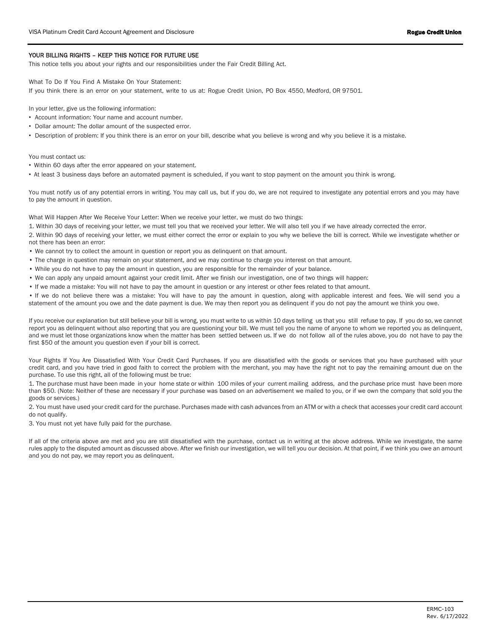## YOUR BILLING RIGHTS - KEEP THIS NOTICE FOR FUTURE USE

This notice tells you about your rights and our responsibilities under the Fair Credit Billing Act.

What To Do If You Find A Mistake On Your Statement:

If you think there is an error on your statement, write to us at: Rogue Credit Union, PO Box 4550, Medford, OR 97501.

In your letter, give us the following information:

- Account information: Your name and account number.
- Dollar amount: The dollar amount of the suspected error.
- Description of problem: If you think there is an error on your bill, describe what you believe is wrong and why you believe it is a mistake.

You must contact us:

- Within 60 days after the error appeared on your statement.
- At least 3 business days before an automated payment is scheduled, if you want to stop payment on the amount you think is wrong.

You must notify us of any potential errors in writing. You may call us, but if you do, we are not required to investigate any potential errors and you may have to pay the amount in question.

What Will Happen After We Receive Your Letter: When we receive your letter, we must do two things:

1. Within 30 days of receiving your letter, we must tell you that we received your letter. We will also tell you if we have already corrected the error.

2. Within 90 days of receiving your letter, we must either correct the error or explain to you why we believe the bill is correct. While we investigate whether or not there has been an error:

- We cannot try to collect the amount in question or report you as delinquent on that amount.
- The charge in question may remain on your statement, and we may continue to charge you interest on that amount.
- While you do not have to pay the amount in question, you are responsible for the remainder of your balance.
- We can apply any unpaid amount against your credit limit. After we finish our investigation, one of two things will happen:
- If we made a mistake: You will not have to pay the amount in question or any interest or other fees related to that amount.

• If we do not believe there was a mistake: You will have to pay the amount in question, along with applicable interest and fees. We will send you a statement of the amount you owe and the date payment is due. We may then report you as delinquent if you do not pay the amount we think you owe.

If you receive our explanation but still believe your bill is wrong, you must write to us within 10 days telling us that you still refuse to pay. If you do so, we cannot report you as delinquent without also reporting that you are questioning your bill. We must tell you the name of anyone to whom we reported you as delinquent, and we must let those organizations know when the matter has been settled between us. If we do not follow all of the rules above, you do not have to pay the first \$50 of the amount you question even if your bill is correct.

Your Rights If You Are Dissatisfied With Your Credit Card Purchases. If you are dissatisfied with the goods or services that you have purchased with your credit card, and you have tried in good faith to correct the problem with the merchant, you may have the right not to pay the remaining amount due on the purchase. To use this right, all of the following must be true:

1. The purchase must have been made in your home state or within 100 miles of your current mailing address, and the purchase price must have been more than \$50. (Note: Neither of these are necessary if your purchase was based on an advertisement we mailed to you, or if we own the company that sold you the goods or services.)

2. You must have used your credit card for the purchase. Purchases made with cash advances from an ATM or with a check that accesses your credit card account do not qualify.

3. You must not yet have fully paid for the purchase.

If all of the criteria above are met and you are still dissatisfied with the purchase, contact us in writing at the above address. While we investigate, the same rules apply to the disputed amount as discussed above. After we finish our investigation, we will tell you our decision. At that point, if we think you owe an amount and you do not pay, we may report you as delinquent.